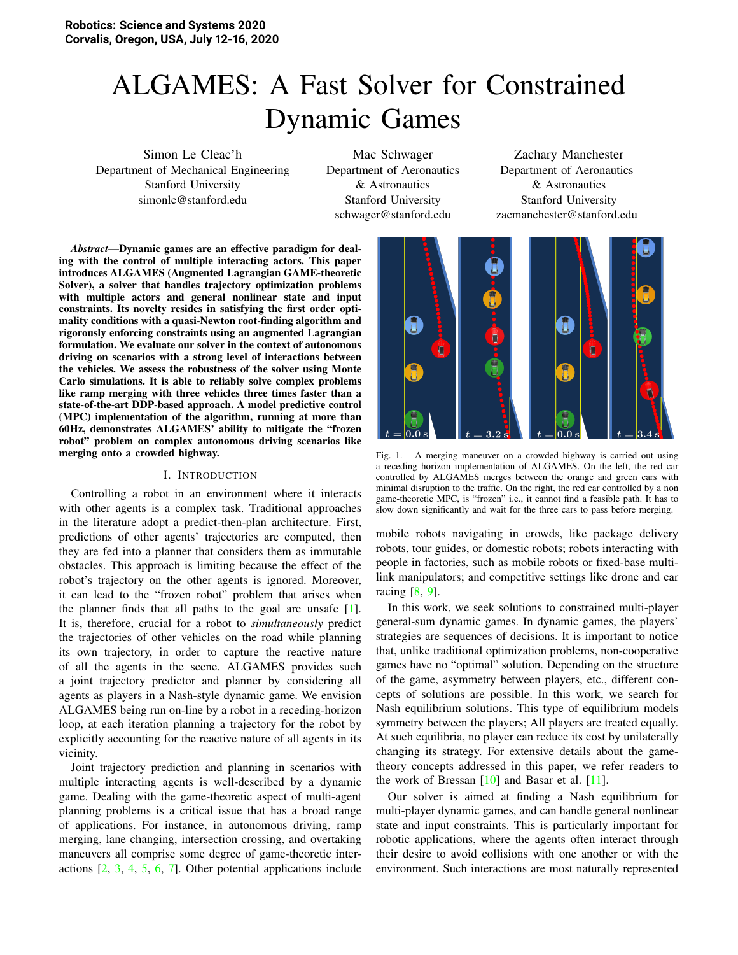# ALGAMES: A Fast Solver for Constrained Dynamic Games

Simon Le Cleac'h Department of Mechanical Engineering Stanford University simonlc@stanford.edu

Mac Schwager Department of Aeronautics & Astronautics Stanford University schwager@stanford.edu

Zachary Manchester Department of Aeronautics & Astronautics Stanford University zacmanchester@stanford.edu

*Abstract*—Dynamic games are an effective paradigm for dealing with the control of multiple interacting actors. This paper introduces ALGAMES (Augmented Lagrangian GAME-theoretic Solver), a solver that handles trajectory optimization problems with multiple actors and general nonlinear state and input constraints. Its novelty resides in satisfying the first order optimality conditions with a quasi-Newton root-finding algorithm and rigorously enforcing constraints using an augmented Lagrangian formulation. We evaluate our solver in the context of autonomous driving on scenarios with a strong level of interactions between the vehicles. We assess the robustness of the solver using Monte Carlo simulations. It is able to reliably solve complex problems like ramp merging with three vehicles three times faster than a state-of-the-art DDP-based approach. A model predictive control (MPC) implementation of the algorithm, running at more than 60Hz, demonstrates ALGAMES' ability to mitigate the "frozen robot" problem on complex autonomous driving scenarios like merging onto a crowded highway.

## I. INTRODUCTION

Controlling a robot in an environment where it interacts with other agents is a complex task. Traditional approaches in the literature adopt a predict-then-plan architecture. First, predictions of other agents' trajectories are computed, then they are fed into a planner that considers them as immutable obstacles. This approach is limiting because the effect of the robot's trajectory on the other agents is ignored. Moreover, it can lead to the "frozen robot" problem that arises when the planner finds that all paths to the goal are unsafe [\[1\]](#page-8-0). It is, therefore, crucial for a robot to *simultaneously* predict the trajectories of other vehicles on the road while planning its own trajectory, in order to capture the reactive nature of all the agents in the scene. ALGAMES provides such a joint trajectory predictor and planner by considering all agents as players in a Nash-style dynamic game. We envision ALGAMES being run on-line by a robot in a receding-horizon loop, at each iteration planning a trajectory for the robot by explicitly accounting for the reactive nature of all agents in its vicinity.

Joint trajectory prediction and planning in scenarios with multiple interacting agents is well-described by a dynamic game. Dealing with the game-theoretic aspect of multi-agent planning problems is a critical issue that has a broad range of applications. For instance, in autonomous driving, ramp merging, lane changing, intersection crossing, and overtaking maneuvers all comprise some degree of game-theoretic interactions [\[2,](#page-8-1) [3,](#page-8-2) [4,](#page-8-3) [5,](#page-8-4) [6,](#page-8-5) [7\]](#page-8-6). Other potential applications include



<span id="page-0-0"></span>Fig. 1. A merging maneuver on a crowded highway is carried out using a receding horizon implementation of ALGAMES. On the left, the red car controlled by ALGAMES merges between the orange and green cars with minimal disruption to the traffic. On the right, the red car controlled by a non game-theoretic MPC, is "frozen" i.e., it cannot find a feasible path. It has to slow down significantly and wait for the three cars to pass before merging.

mobile robots navigating in crowds, like package delivery robots, tour guides, or domestic robots; robots interacting with people in factories, such as mobile robots or fixed-base multilink manipulators; and competitive settings like drone and car racing [\[8,](#page-8-7) [9\]](#page-8-8).

In this work, we seek solutions to constrained multi-player general-sum dynamic games. In dynamic games, the players' strategies are sequences of decisions. It is important to notice that, unlike traditional optimization problems, non-cooperative games have no "optimal" solution. Depending on the structure of the game, asymmetry between players, etc., different concepts of solutions are possible. In this work, we search for Nash equilibrium solutions. This type of equilibrium models symmetry between the players; All players are treated equally. At such equilibria, no player can reduce its cost by unilaterally changing its strategy. For extensive details about the gametheory concepts addressed in this paper, we refer readers to the work of Bressan  $[10]$  and Basar et al.  $[11]$ .

Our solver is aimed at finding a Nash equilibrium for multi-player dynamic games, and can handle general nonlinear state and input constraints. This is particularly important for robotic applications, where the agents often interact through their desire to avoid collisions with one another or with the environment. Such interactions are most naturally represented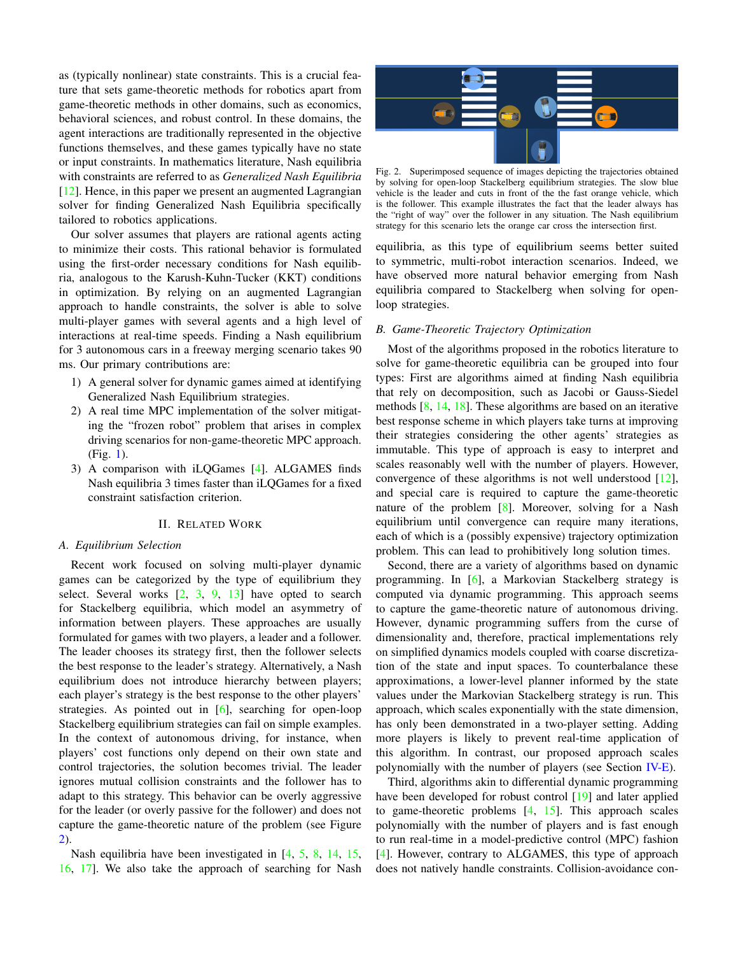as (typically nonlinear) state constraints. This is a crucial feature that sets game-theoretic methods for robotics apart from game-theoretic methods in other domains, such as economics, behavioral sciences, and robust control. In these domains, the agent interactions are traditionally represented in the objective functions themselves, and these games typically have no state or input constraints. In mathematics literature, Nash equilibria with constraints are referred to as *Generalized Nash Equilibria* [\[12\]](#page-8-11). Hence, in this paper we present an augmented Lagrangian solver for finding Generalized Nash Equilibria specifically tailored to robotics applications.

Our solver assumes that players are rational agents acting to minimize their costs. This rational behavior is formulated using the first-order necessary conditions for Nash equilibria, analogous to the Karush-Kuhn-Tucker (KKT) conditions in optimization. By relying on an augmented Lagrangian approach to handle constraints, the solver is able to solve multi-player games with several agents and a high level of interactions at real-time speeds. Finding a Nash equilibrium for 3 autonomous cars in a freeway merging scenario takes 90 ms. Our primary contributions are:

- 1) A general solver for dynamic games aimed at identifying Generalized Nash Equilibrium strategies.
- 2) A real time MPC implementation of the solver mitigating the "frozen robot" problem that arises in complex driving scenarios for non-game-theoretic MPC approach. (Fig. [1\)](#page-0-0).
- 3) A comparison with iLQGames [\[4\]](#page-8-3). ALGAMES finds Nash equilibria 3 times faster than iLQGames for a fixed constraint satisfaction criterion.

## II. RELATED WORK

## *A. Equilibrium Selection*

Recent work focused on solving multi-player dynamic games can be categorized by the type of equilibrium they select. Several works  $[2, 3, 9, 13]$  $[2, 3, 9, 13]$  $[2, 3, 9, 13]$  $[2, 3, 9, 13]$  $[2, 3, 9, 13]$  $[2, 3, 9, 13]$  $[2, 3, 9, 13]$  have opted to search for Stackelberg equilibria, which model an asymmetry of information between players. These approaches are usually formulated for games with two players, a leader and a follower. The leader chooses its strategy first, then the follower selects the best response to the leader's strategy. Alternatively, a Nash equilibrium does not introduce hierarchy between players; each player's strategy is the best response to the other players' strategies. As pointed out in [\[6\]](#page-8-5), searching for open-loop Stackelberg equilibrium strategies can fail on simple examples. In the context of autonomous driving, for instance, when players' cost functions only depend on their own state and control trajectories, the solution becomes trivial. The leader ignores mutual collision constraints and the follower has to adapt to this strategy. This behavior can be overly aggressive for the leader (or overly passive for the follower) and does not capture the game-theoretic nature of the problem (see Figure [2\)](#page-1-0).

Nash equilibria have been investigated in [\[4,](#page-8-3) [5,](#page-8-4) [8,](#page-8-7) [14,](#page-8-13) [15,](#page-8-14) [16,](#page-8-15) [17\]](#page-8-16). We also take the approach of searching for Nash



<span id="page-1-0"></span>Fig. 2. Superimposed sequence of images depicting the trajectories obtained by solving for open-loop Stackelberg equilibrium strategies. The slow blue vehicle is the leader and cuts in front of the the fast orange vehicle, which is the follower. This example illustrates the fact that the leader always has the "right of way" over the follower in any situation. The Nash equilibrium strategy for this scenario lets the orange car cross the intersection first.

equilibria, as this type of equilibrium seems better suited to symmetric, multi-robot interaction scenarios. Indeed, we have observed more natural behavior emerging from Nash equilibria compared to Stackelberg when solving for openloop strategies.

## *B. Game-Theoretic Trajectory Optimization*

Most of the algorithms proposed in the robotics literature to solve for game-theoretic equilibria can be grouped into four types: First are algorithms aimed at finding Nash equilibria that rely on decomposition, such as Jacobi or Gauss-Siedel methods [\[8,](#page-8-7) [14,](#page-8-13) [18\]](#page-8-17). These algorithms are based on an iterative best response scheme in which players take turns at improving their strategies considering the other agents' strategies as immutable. This type of approach is easy to interpret and scales reasonably well with the number of players. However, convergence of these algorithms is not well understood  $[12]$ , and special care is required to capture the game-theoretic nature of the problem [\[8\]](#page-8-7). Moreover, solving for a Nash equilibrium until convergence can require many iterations, each of which is a (possibly expensive) trajectory optimization problem. This can lead to prohibitively long solution times.

Second, there are a variety of algorithms based on dynamic programming. In [\[6\]](#page-8-5), a Markovian Stackelberg strategy is computed via dynamic programming. This approach seems to capture the game-theoretic nature of autonomous driving. However, dynamic programming suffers from the curse of dimensionality and, therefore, practical implementations rely on simplified dynamics models coupled with coarse discretization of the state and input spaces. To counterbalance these approximations, a lower-level planner informed by the state values under the Markovian Stackelberg strategy is run. This approach, which scales exponentially with the state dimension, has only been demonstrated in a two-player setting. Adding more players is likely to prevent real-time application of this algorithm. In contrast, our proposed approach scales polynomially with the number of players (see Section [IV-E\)](#page-4-0).

Third, algorithms akin to differential dynamic programming have been developed for robust control [\[19\]](#page-8-18) and later applied to game-theoretic problems [\[4,](#page-8-3) [15\]](#page-8-14). This approach scales polynomially with the number of players and is fast enough to run real-time in a model-predictive control (MPC) fashion [\[4\]](#page-8-3). However, contrary to ALGAMES, this type of approach does not natively handle constraints. Collision-avoidance con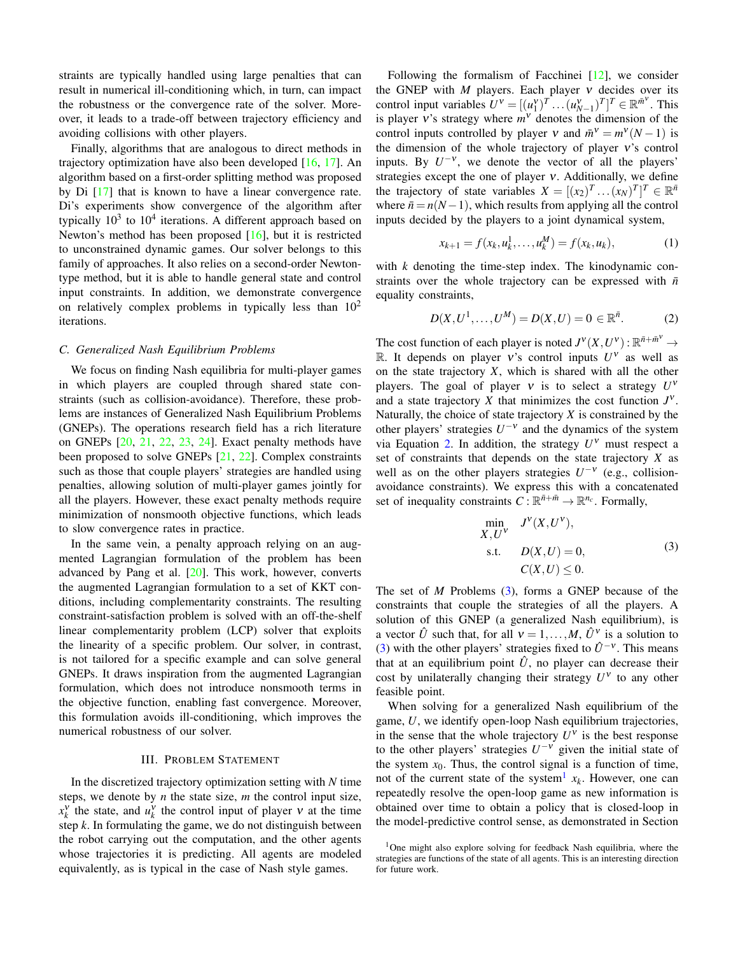straints are typically handled using large penalties that can result in numerical ill-conditioning which, in turn, can impact the robustness or the convergence rate of the solver. Moreover, it leads to a trade-off between trajectory efficiency and avoiding collisions with other players.

Finally, algorithms that are analogous to direct methods in trajectory optimization have also been developed [\[16,](#page-8-15) [17\]](#page-8-16). An algorithm based on a first-order splitting method was proposed by Di [\[17\]](#page-8-16) that is known to have a linear convergence rate. Di's experiments show convergence of the algorithm after typically  $10^3$  to  $10^4$  iterations. A different approach based on Newton's method has been proposed [\[16\]](#page-8-15), but it is restricted to unconstrained dynamic games. Our solver belongs to this family of approaches. It also relies on a second-order Newtontype method, but it is able to handle general state and control input constraints. In addition, we demonstrate convergence on relatively complex problems in typically less than  $10<sup>2</sup>$ iterations.

## *C. Generalized Nash Equilibrium Problems*

We focus on finding Nash equilibria for multi-player games in which players are coupled through shared state constraints (such as collision-avoidance). Therefore, these problems are instances of Generalized Nash Equilibrium Problems (GNEPs). The operations research field has a rich literature on GNEPs [\[20,](#page-8-19) [21,](#page-8-20) [22,](#page-8-21) [23,](#page-8-22) [24\]](#page-8-23). Exact penalty methods have been proposed to solve GNEPs [\[21,](#page-8-20) [22\]](#page-8-21). Complex constraints such as those that couple players' strategies are handled using penalties, allowing solution of multi-player games jointly for all the players. However, these exact penalty methods require minimization of nonsmooth objective functions, which leads to slow convergence rates in practice.

In the same vein, a penalty approach relying on an augmented Lagrangian formulation of the problem has been advanced by Pang et al.  $[20]$ . This work, however, converts the augmented Lagrangian formulation to a set of KKT conditions, including complementarity constraints. The resulting constraint-satisfaction problem is solved with an off-the-shelf linear complementarity problem (LCP) solver that exploits the linearity of a specific problem. Our solver, in contrast, is not tailored for a specific example and can solve general GNEPs. It draws inspiration from the augmented Lagrangian formulation, which does not introduce nonsmooth terms in the objective function, enabling fast convergence. Moreover, this formulation avoids ill-conditioning, which improves the numerical robustness of our solver.

#### III. PROBLEM STATEMENT

In the discretized trajectory optimization setting with *N* time steps, we denote by *n* the state size, *m* the control input size,  $x_k^v$  the state, and  $u_k^v$  the control input of player  $v$  at the time step *k*. In formulating the game, we do not distinguish between the robot carrying out the computation, and the other agents whose trajectories it is predicting. All agents are modeled equivalently, as is typical in the case of Nash style games.

Following the formalism of Facchinei [\[12\]](#page-8-11), we consider the GNEP with  $M$  players. Each player  $v$  decides over its control input variables  $U^{\nu} = [(u_1^{\nu})^T \dots (u_{N-1}^{\nu})^T]^T \in \mathbb{R}^{\bar{m}^{\nu}}$ . This is player  $v$ 's strategy where  $m<sup>v</sup>$  denotes the dimension of the control inputs controlled by player  $v$  and  $\bar{m}^v = m^v(N-1)$  is the dimension of the whole trajectory of player  $v$ 's control inputs. By  $U^{-\nu}$ , we denote the vector of all the players' strategies except the one of player ν. Additionally, we define the trajectory of state variables  $X = [(x_2)^T \dots (x_N)^T]^T \in \mathbb{R}^{\bar{n}}$ where  $\bar{n} = n(N-1)$ , which results from applying all the control inputs decided by the players to a joint dynamical system,

$$
x_{k+1} = f(x_k, u_k^1, \dots, u_k^M) = f(x_k, u_k),
$$
 (1)

with *k* denoting the time-step index. The kinodynamic constraints over the whole trajectory can be expressed with  $\bar{n}$ equality constraints,

<span id="page-2-0"></span>
$$
D(X, U^1, \dots, U^M) = D(X, U) = 0 \in \mathbb{R}^{\bar{n}}.
$$
 (2)

The cost function of each player is noted  $J^V(X, U^V)$ :  $\mathbb{R}^{\bar{n} + \bar{m}^V} \to$ R. It depends on player v's control inputs  $U^{\nu}$  as well as on the state trajectory *X*, which is shared with all the other players. The goal of player  $v$  is to select a strategy  $U^v$ and a state trajectory  $X$  that minimizes the cost function  $J^V$ . Naturally, the choice of state trajectory *X* is constrained by the other players' strategies  $U^{-\nu}$  and the dynamics of the system via Equation [2.](#page-2-0) In addition, the strategy  $U^{\nu}$  must respect a set of constraints that depends on the state trajectory *X* as well as on the other players strategies  $U^{-\nu}$  (e.g., collisionavoidance constraints). We express this with a concatenated set of inequality constraints  $C: \mathbb{R}^{\bar{n}+\bar{m}} \to \mathbb{R}^{n_c}$ . Formally,

<span id="page-2-1"></span>
$$
\min_{X, U'} \quad J^{V}(X, U^{V}),
$$
  
s.t. 
$$
D(X, U) = 0,
$$

$$
C(X, U) \leq 0.
$$
 (3)

The set of *M* Problems [\(3\)](#page-2-1), forms a GNEP because of the constraints that couple the strategies of all the players. A solution of this GNEP (a generalized Nash equilibrium), is a vector  $\hat{U}$  such that, for all  $V = 1, ..., M$ ,  $\hat{U}^V$  is a solution to [\(3\)](#page-2-1) with the other players' strategies fixed to  $\hat{U}^{-\nu}$ . This means that at an equilibrium point  $\hat{U}$ , no player can decrease their cost by unilaterally changing their strategy  $U^{\nu}$  to any other feasible point.

When solving for a generalized Nash equilibrium of the game, *U*, we identify open-loop Nash equilibrium trajectories, in the sense that the whole trajectory  $U^{\nu}$  is the best response to the other players' strategies  $U^{-\nu}$  given the initial state of the system  $x_0$ . Thus, the control signal is a function of time, not of the current state of the system<sup>[1](#page-2-2)</sup>  $x_k$ . However, one can repeatedly resolve the open-loop game as new information is obtained over time to obtain a policy that is closed-loop in the model-predictive control sense, as demonstrated in Section

<span id="page-2-2"></span><sup>&</sup>lt;sup>1</sup>One might also explore solving for feedback Nash equilibria, where the strategies are functions of the state of all agents. This is an interesting direction for future work.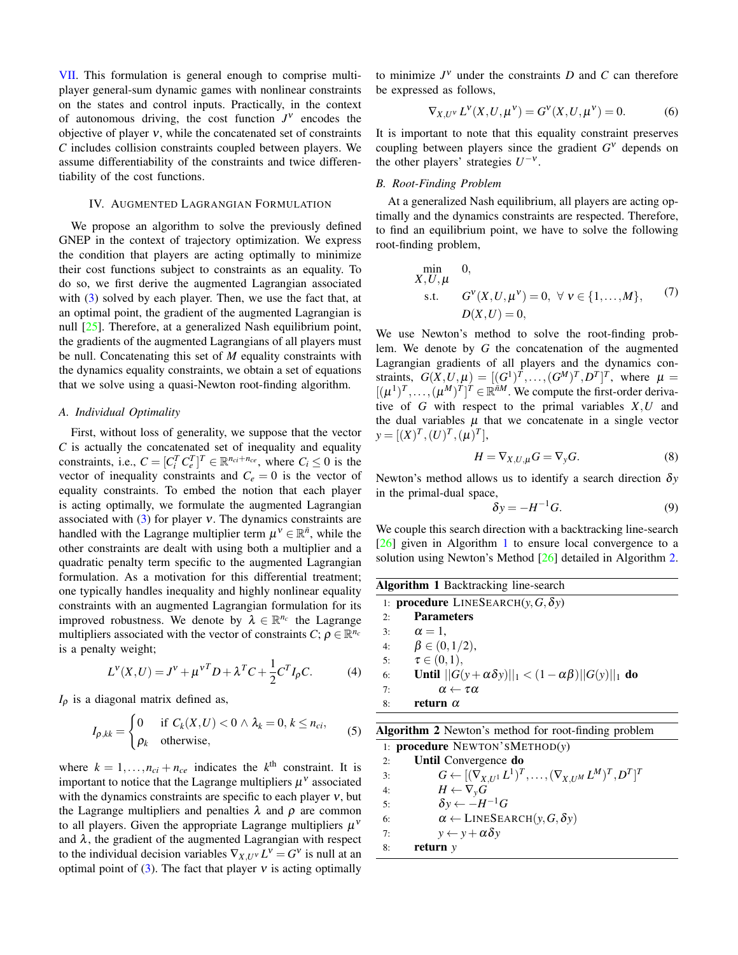[VII.](#page-7-0) This formulation is general enough to comprise multiplayer general-sum dynamic games with nonlinear constraints on the states and control inputs. Practically, in the context of autonomous driving, the cost function  $J^V$  encodes the objective of player  $v$ , while the concatenated set of constraints *C* includes collision constraints coupled between players. We assume differentiability of the constraints and twice differentiability of the cost functions.

## IV. AUGMENTED LAGRANGIAN FORMULATION

We propose an algorithm to solve the previously defined GNEP in the context of trajectory optimization. We express the condition that players are acting optimally to minimize their cost functions subject to constraints as an equality. To do so, we first derive the augmented Lagrangian associated with [\(3\)](#page-2-1) solved by each player. Then, we use the fact that, at an optimal point, the gradient of the augmented Lagrangian is null [\[25\]](#page-8-24). Therefore, at a generalized Nash equilibrium point, the gradients of the augmented Lagrangians of all players must be null. Concatenating this set of *M* equality constraints with the dynamics equality constraints, we obtain a set of equations that we solve using a quasi-Newton root-finding algorithm.

## *A. Individual Optimality*

First, without loss of generality, we suppose that the vector *C* is actually the concatenated set of inequality and equality constraints, i.e.,  $C = [C_i^T C_e^T]^T \in \mathbb{R}^{n_{ci} + n_{ce}}$ , where  $C_i \le 0$  is the vector of inequality constraints and  $C_e = 0$  is the vector of equality constraints. To embed the notion that each player is acting optimally, we formulate the augmented Lagrangian associated with  $(3)$  for player v. The dynamics constraints are handled with the Lagrange multiplier term  $\mu^{\nu} \in \mathbb{R}^{\bar{n}}$ , while the other constraints are dealt with using both a multiplier and a quadratic penalty term specific to the augmented Lagrangian formulation. As a motivation for this differential treatment; one typically handles inequality and highly nonlinear equality constraints with an augmented Lagrangian formulation for its improved robustness. We denote by  $\lambda \in \mathbb{R}^{n_c}$  the Lagrange multipliers associated with the vector of constraints  $C; \rho \in \mathbb{R}^{n_c}$ is a penalty weight;

$$
L^{V}(X,U) = J^{V} + \mu^{V^{T}} D + \lambda^{T} C + \frac{1}{2} C^{T} I_{\rho} C.
$$
 (4)

*I*<sup>ρ</sup> is a diagonal matrix defined as,

$$
I_{\rho,kk} = \begin{cases} 0 & \text{if } C_k(X,U) < 0 \land \lambda_k = 0, \, k \le n_{ci}, \\ \rho_k & \text{otherwise,} \end{cases} \tag{5}
$$

where  $k = 1, ..., n_{ci} + n_{ce}$  indicates the  $k^{\text{th}}$  constraint. It is important to notice that the Lagrange multipliers  $\mu^{\nu}$  associated with the dynamics constraints are specific to each player  $v$ , but the Lagrange multipliers and penalties  $\lambda$  and  $\rho$  are common to all players. Given the appropriate Lagrange multipliers  $\mu^{\nu}$ and  $\lambda$ , the gradient of the augmented Lagrangian with respect to the individual decision variables  $\nabla_{X,U} v L^{\nu} = G^{\nu}$  is null at an optimal point of [\(3\)](#page-2-1). The fact that player  $v$  is acting optimally

to minimize  $J^V$  under the constraints  $D$  and  $C$  can therefore be expressed as follows,

$$
\nabla_{X,U^{\vee}} L^{\vee}(X,U,\mu^{\vee}) = G^{\vee}(X,U,\mu^{\vee}) = 0.
$$
 (6)

It is important to note that this equality constraint preserves coupling between players since the gradient *G* <sup>ν</sup> depends on the other players' strategies  $U^{-\nu}$ .

#### *B. Root-Finding Problem*

At a generalized Nash equilibrium, all players are acting optimally and the dynamics constraints are respected. Therefore, to find an equilibrium point, we have to solve the following root-finding problem,

$$
\min_{X, U, \mu} 0,
$$
  
s.t.  $G^{V}(X, U, \mu^{V}) = 0, \forall v \in \{1, ..., M\},$  (7)  
 $D(X, U) = 0,$ 

We use Newton's method to solve the root-finding problem. We denote by *G* the concatenation of the augmented Lagrangian gradients of all players and the dynamics constraints,  $G(X, U, \mu) = [(G^1)^T, \dots, (G^M)^T, D^T]^T$ , where  $\mu =$  $[(\mu^1)^T, \ldots, (\mu^M)^T]^T \in \mathbb{R}^{\tilde{n}M}$ . We compute the first-order derivative of *G* with respect to the primal variables *X*,*U* and the dual variables  $\mu$  that we concatenate in a single vector  $y = [(X)^T, (U)^T, (\mu)^T]$ 

$$
H = \nabla_{X,U,\mu} G = \nabla_y G. \tag{8}
$$

Newton's method allows us to identify a search direction δ*y* in the primal-dual space,

<span id="page-3-2"></span>
$$
\delta y = -H^{-1}G.\tag{9}
$$

We couple this search direction with a backtracking line-search [\[26\]](#page-8-25) given in Algorithm [1](#page-3-0) to ensure local convergence to a solution using Newton's Method [\[26\]](#page-8-25) detailed in Algorithm [2.](#page-3-1)

<span id="page-3-0"></span>

| <b>Algorithm 1 Backtracking line-search</b> |                                                                        |  |  |  |
|---------------------------------------------|------------------------------------------------------------------------|--|--|--|
|                                             | 1: <b>procedure</b> LINESEARCH( $y$ , $G$ , $\delta y$ )               |  |  |  |
| 2.5                                         | <b>Parameters</b>                                                      |  |  |  |
| 3:                                          | $\alpha = 1$ .                                                         |  |  |  |
| 4:                                          | $\beta \in (0, 1/2),$                                                  |  |  |  |
| 5:                                          | $\tau \in (0,1),$                                                      |  |  |  |
| 6:                                          | Until $  G(y + \alpha \delta y)  _1 < (1 - \alpha \beta)  G(y)  _1$ do |  |  |  |
| 7:                                          | $\alpha \leftarrow \tau \alpha$                                        |  |  |  |
| 8:                                          | return $\alpha$                                                        |  |  |  |
|                                             |                                                                        |  |  |  |

<span id="page-3-4"></span><span id="page-3-3"></span>

|  |  | Algorithm 2 Newton's method for root-finding problem |  |  |  |  |
|--|--|------------------------------------------------------|--|--|--|--|
|--|--|------------------------------------------------------|--|--|--|--|

<span id="page-3-1"></span>1: procedure NEWTON'SMETHOD(*y*) 2: Until Convergence do 3:  $G \leftarrow [(\nabla_{X,U^1} L^1)^T, \ldots, (\nabla_{X,U^M} L^M)^T, D^T]^T$ 4:  $H \leftarrow \nabla_y G$ 5:  $\delta y \leftarrow -H^{-1}G$ 6:  $\alpha \leftarrow \text{LINESEARCH}(y, G, \delta y)$ 7:  $y \leftarrow y + \alpha \delta y$ 8: return *y*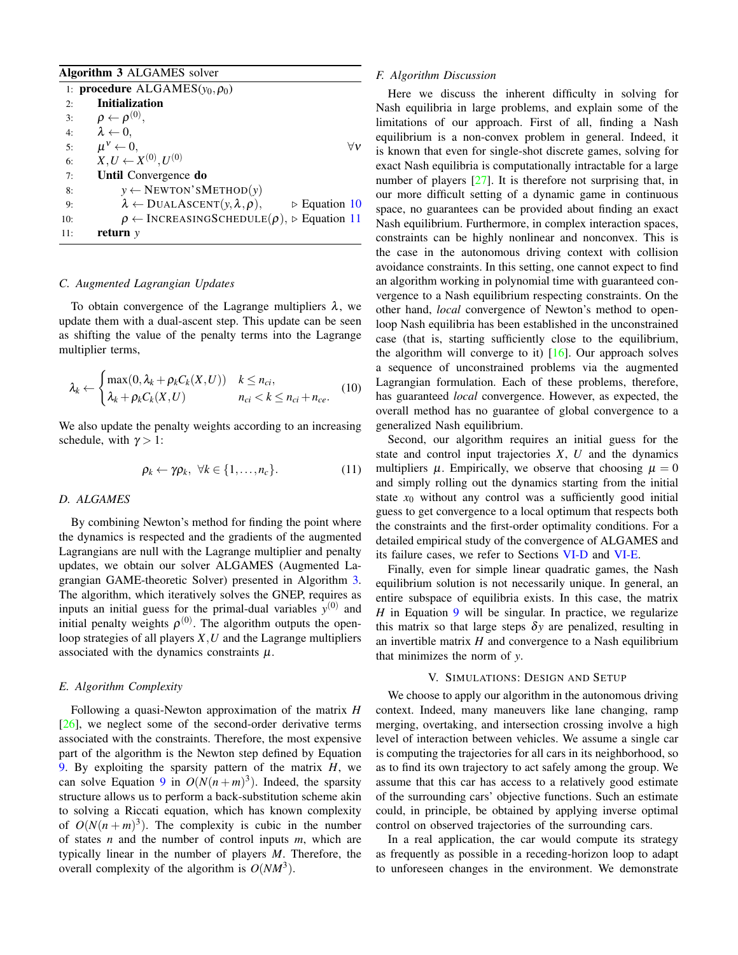<span id="page-4-3"></span>

|     | <b>Algorithm 3 ALGAMES</b> solver                                                         |
|-----|-------------------------------------------------------------------------------------------|
|     | 1: <b>procedure</b> ALGAMES( $y_0, \rho_0$ )                                              |
| 2:  | <b>Initialization</b>                                                                     |
| 3:  | $\rho \leftarrow \rho^{(0)},$                                                             |
| 4:  | $\lambda \leftarrow 0$ ,                                                                  |
| 5:  | $\mu^{\vee} \leftarrow 0$ .                                                               |
| 6:  | $X, U \leftarrow X^{(0)}, U^{(0)}$                                                        |
| 7:  | Until Convergence do                                                                      |
| 8:  | $y \leftarrow$ NEWTON'SMETHOD(y)                                                          |
| 9:  | $\lambda \leftarrow \text{DUALASCENT}(y, \lambda, \rho),$<br>$\triangleright$ Equation 10 |
| 10: | $\rho \leftarrow$ INCREASINGSCHEDULE( $\rho$ ),<br>$\triangleright$ Equation 11           |
| 11: | return $y$                                                                                |

# *C. Augmented Lagrangian Updates*

To obtain convergence of the Lagrange multipliers  $\lambda$ , we update them with a dual-ascent step. This update can be seen as shifting the value of the penalty terms into the Lagrange multiplier terms,

$$
\lambda_k \leftarrow \begin{cases} \max(0, \lambda_k + \rho_k C_k(X, U)) & k \leq n_{ci}, \\ \lambda_k + \rho_k C_k(X, U) & n_{ci} < k \leq n_{ci} + n_{ce}. \end{cases}
$$
(10)

We also update the penalty weights according to an increasing schedule, with  $\gamma > 1$ :

$$
\rho_k \leftarrow \gamma \rho_k, \ \forall k \in \{1, \dots, n_c\}.
$$
 (11)

## *D. ALGAMES*

By combining Newton's method for finding the point where the dynamics is respected and the gradients of the augmented Lagrangians are null with the Lagrange multiplier and penalty updates, we obtain our solver ALGAMES (Augmented Lagrangian GAME-theoretic Solver) presented in Algorithm [3.](#page-4-3) The algorithm, which iteratively solves the GNEP, requires as inputs an initial guess for the primal-dual variables  $y^{(0)}$  and initial penalty weights  $\rho^{(0)}$ . The algorithm outputs the openloop strategies of all players *X*,*U* and the Lagrange multipliers associated with the dynamics constraints  $\mu$ .

#### <span id="page-4-0"></span>*E. Algorithm Complexity*

Following a quasi-Newton approximation of the matrix *H* [\[26\]](#page-8-25), we neglect some of the second-order derivative terms associated with the constraints. Therefore, the most expensive part of the algorithm is the Newton step defined by Equation [9.](#page-3-2) By exploiting the sparsity pattern of the matrix *H*, we can solve Equation [9](#page-3-2) in  $O(N(n+m)^3)$ . Indeed, the sparsity structure allows us to perform a back-substitution scheme akin to solving a Riccati equation, which has known complexity of  $O(N(n+m)^3)$ . The complexity is cubic in the number of states *n* and the number of control inputs *m*, which are typically linear in the number of players *M*. Therefore, the overall complexity of the algorithm is  $O(NM^3)$ .

#### *F. Algorithm Discussion*

Here we discuss the inherent difficulty in solving for Nash equilibria in large problems, and explain some of the limitations of our approach. First of all, finding a Nash equilibrium is a non-convex problem in general. Indeed, it is known that even for single-shot discrete games, solving for exact Nash equilibria is computationally intractable for a large number of players [\[27\]](#page-8-26). It is therefore not surprising that, in our more difficult setting of a dynamic game in continuous space, no guarantees can be provided about finding an exact Nash equilibrium. Furthermore, in complex interaction spaces, constraints can be highly nonlinear and nonconvex. This is the case in the autonomous driving context with collision avoidance constraints. In this setting, one cannot expect to find an algorithm working in polynomial time with guaranteed convergence to a Nash equilibrium respecting constraints. On the other hand, *local* convergence of Newton's method to openloop Nash equilibria has been established in the unconstrained case (that is, starting sufficiently close to the equilibrium, the algorithm will converge to it)  $[16]$ . Our approach solves a sequence of unconstrained problems via the augmented Lagrangian formulation. Each of these problems, therefore, has guaranteed *local* convergence. However, as expected, the overall method has no guarantee of global convergence to a generalized Nash equilibrium.

<span id="page-4-2"></span><span id="page-4-1"></span>Second, our algorithm requires an initial guess for the state and control input trajectories *X*, *U* and the dynamics multipliers  $\mu$ . Empirically, we observe that choosing  $\mu = 0$ and simply rolling out the dynamics starting from the initial state  $x_0$  without any control was a sufficiently good initial guess to get convergence to a local optimum that respects both the constraints and the first-order optimality conditions. For a detailed empirical study of the convergence of ALGAMES and its failure cases, we refer to Sections [VI-D](#page-6-0) and [VI-E.](#page-6-1)

Finally, even for simple linear quadratic games, the Nash equilibrium solution is not necessarily unique. In general, an entire subspace of equilibria exists. In this case, the matrix *H* in Equation [9](#page-3-2) will be singular. In practice, we regularize this matrix so that large steps  $\delta y$  are penalized, resulting in an invertible matrix *H* and convergence to a Nash equilibrium that minimizes the norm of *y*.

## V. SIMULATIONS: DESIGN AND SETUP

We choose to apply our algorithm in the autonomous driving context. Indeed, many maneuvers like lane changing, ramp merging, overtaking, and intersection crossing involve a high level of interaction between vehicles. We assume a single car is computing the trajectories for all cars in its neighborhood, so as to find its own trajectory to act safely among the group. We assume that this car has access to a relatively good estimate of the surrounding cars' objective functions. Such an estimate could, in principle, be obtained by applying inverse optimal control on observed trajectories of the surrounding cars.

In a real application, the car would compute its strategy as frequently as possible in a receding-horizon loop to adapt to unforeseen changes in the environment. We demonstrate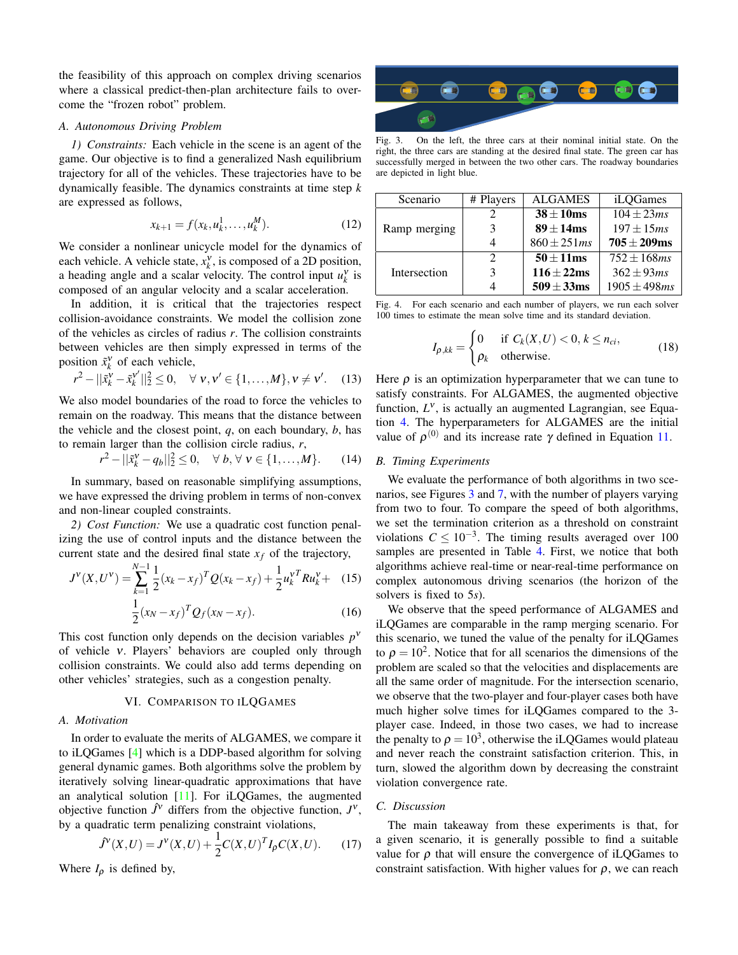the feasibility of this approach on complex driving scenarios where a classical predict-then-plan architecture fails to overcome the "frozen robot" problem.

## *A. Autonomous Driving Problem*

*1) Constraints:* Each vehicle in the scene is an agent of the game. Our objective is to find a generalized Nash equilibrium trajectory for all of the vehicles. These trajectories have to be dynamically feasible. The dynamics constraints at time step *k* are expressed as follows,

$$
x_{k+1} = f(x_k, u_k^1, \dots, u_k^M). \tag{12}
$$

We consider a nonlinear unicycle model for the dynamics of each vehicle. A vehicle state,  $x_k^{\gamma}$ , is composed of a 2D position, a heading angle and a scalar velocity. The control input  $u_k^{\gamma}$  is composed of an angular velocity and a scalar acceleration.

In addition, it is critical that the trajectories respect collision-avoidance constraints. We model the collision zone of the vehicles as circles of radius *r*. The collision constraints between vehicles are then simply expressed in terms of the position  $\tilde{x}_k^v$  of each vehicle,

$$
r^{2} - ||\tilde{x}_{k}^{V} - \tilde{x}_{k}^{V'}||_{2}^{2} \leq 0, \quad \forall \; v, v' \in \{1, ..., M\}, v \neq v'. \tag{13}
$$

We also model boundaries of the road to force the vehicles to remain on the roadway. This means that the distance between the vehicle and the closest point, *q*, on each boundary, *b*, has to remain larger than the collision circle radius, *r*,

$$
r^{2} - ||\tilde{x}_{k}^{V} - q_{b}||_{2}^{2} \leq 0, \quad \forall b, \forall v \in \{1, ..., M\}.
$$
 (14)

In summary, based on reasonable simplifying assumptions, we have expressed the driving problem in terms of non-convex and non-linear coupled constraints.

*2) Cost Function:* We use a quadratic cost function penalizing the use of control inputs and the distance between the current state and the desired final state  $x_f$  of the trajectory,

$$
J^{V}(X, U^{V}) = \sum_{k=1}^{N-1} \frac{1}{2} (x_k - x_f)^{T} Q(x_k - x_f) + \frac{1}{2} u_k^{V} R u_k^{V} + (15)
$$

$$
\frac{1}{2} (x_N - x_f)^{T} Q_f(x_N - x_f).
$$
(16)

This cost function only depends on the decision variables  $p^{\nu}$ of vehicle ν. Players' behaviors are coupled only through collision constraints. We could also add terms depending on other vehicles' strategies, such as a congestion penalty.

# VI. COMPARISON TO ILQGAMES

# *A. Motivation*

In order to evaluate the merits of ALGAMES, we compare it to iLQGames [\[4\]](#page-8-3) which is a DDP-based algorithm for solving general dynamic games. Both algorithms solve the problem by iteratively solving linear-quadratic approximations that have an analytical solution [\[11\]](#page-8-10). For iLQGames, the augmented objective function  $\hat{J}^{\gamma}$  differs from the objective function,  $J^{\gamma}$ , by a quadratic term penalizing constraint violations,

$$
\hat{J}^{\nu}(X,U) = J^{\nu}(X,U) + \frac{1}{2}C(X,U)^{T}I_{\rho}C(X,U).
$$
 (17)

Where  $I_p$  is defined by,

<span id="page-5-0"></span>

Fig. 3. On the left, the three cars at their nominal initial state. On the right, the three cars are standing at the desired final state. The green car has successfully merged in between the two other cars. The roadway boundaries are depicted in light blue.

| Scenario     | # Players     | <b>ALGAMES</b>   | iLQGames                   |
|--------------|---------------|------------------|----------------------------|
|              |               | $38 \pm 10$ ms   | $\overline{104 \pm 23}$ ms |
| Ramp merging | 3             | $89 \pm 14$ ms   | $197 \pm 15$ ms            |
|              |               | $860 \pm 251$ ms | $705 \pm 209$ ms           |
|              | $\mathcal{D}$ | $50 \pm 11$ ms   | $752 \pm 168$ ms           |
| Intersection | 3             | $116 \pm 22$ ms  | $362 \pm 93$ ms            |
|              |               | $509 \pm 33$ ms  | $1905 \pm 498$ ms          |

Fig. 4. For each scenario and each number of players, we run each solver 100 times to estimate the mean solve time and its standard deviation.

<span id="page-5-1"></span>
$$
I_{\rho,kk} = \begin{cases} 0 & \text{if } C_k(X,U) < 0, k \le n_{ci}, \\ \rho_k & \text{otherwise.} \end{cases} \tag{18}
$$

Here  $\rho$  is an optimization hyperparameter that we can tune to satisfy constraints. For ALGAMES, the augmented objective function,  $L^{\nu}$ , is actually an augmented Lagrangian, see Equation [4.](#page-3-3) The hyperparameters for ALGAMES are the initial value of  $\rho^{(0)}$  and its increase rate  $\gamma$  defined in Equation [11.](#page-4-2)

## *B. Timing Experiments*

We evaluate the performance of both algorithms in two scenarios, see Figures [3](#page-5-0) and [7,](#page-7-1) with the number of players varying from two to four. To compare the speed of both algorithms, we set the termination criterion as a threshold on constraint violations  $C \leq 10^{-3}$ . The timing results averaged over 100 samples are presented in Table [4.](#page-5-1) First, we notice that both algorithms achieve real-time or near-real-time performance on complex autonomous driving scenarios (the horizon of the solvers is fixed to 5*s*).

We observe that the speed performance of ALGAMES and iLQGames are comparable in the ramp merging scenario. For this scenario, we tuned the value of the penalty for iLQGames to  $\rho = 10^2$ . Notice that for all scenarios the dimensions of the problem are scaled so that the velocities and displacements are all the same order of magnitude. For the intersection scenario, we observe that the two-player and four-player cases both have much higher solve times for iLQGames compared to the 3 player case. Indeed, in those two cases, we had to increase the penalty to  $\rho = 10^3$ , otherwise the iLQGames would plateau and never reach the constraint satisfaction criterion. This, in turn, slowed the algorithm down by decreasing the constraint violation convergence rate.

### *C. Discussion*

The main takeaway from these experiments is that, for a given scenario, it is generally possible to find a suitable value for  $\rho$  that will ensure the convergence of iLQGames to constraint satisfaction. With higher values for  $\rho$ , we can reach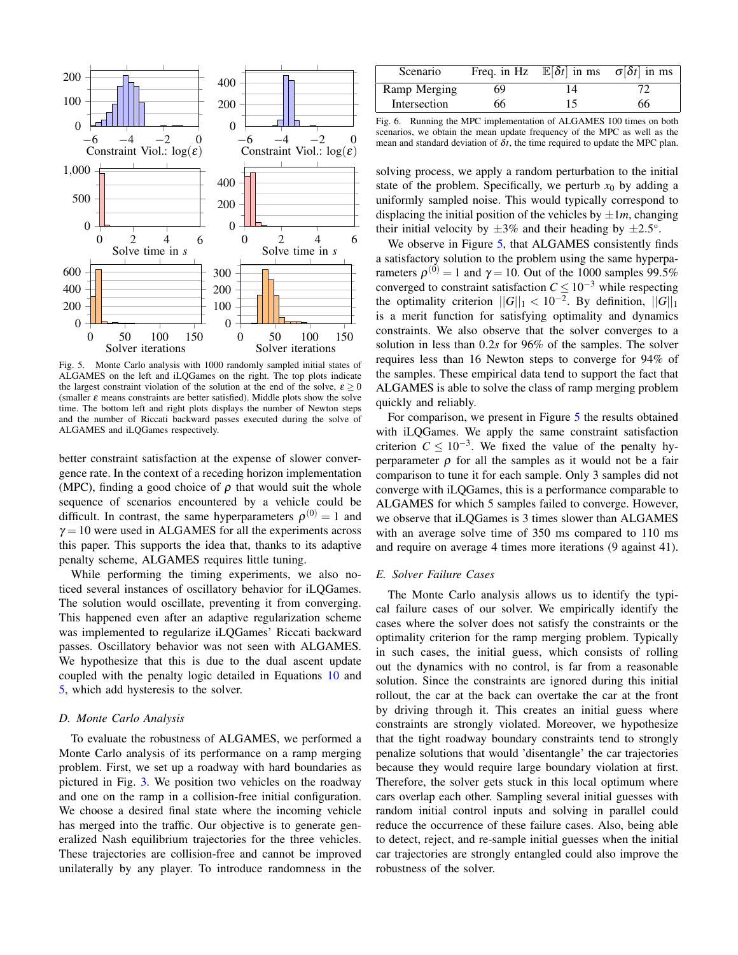

Fig. 5. Monte Carlo analysis with 1000 randomly sampled initial states of ALGAMES on the left and iLQGames on the right. The top plots indicate the largest constraint violation of the solution at the end of the solve,  $\varepsilon \geq 0$ (smaller  $\varepsilon$  means constraints are better satisfied). Middle plots show the solve time. The bottom left and right plots displays the number of Newton steps and the number of Riccati backward passes executed during the solve of ALGAMES and iLQGames respectively.

better constraint satisfaction at the expense of slower convergence rate. In the context of a receding horizon implementation (MPC), finding a good choice of  $\rho$  that would suit the whole sequence of scenarios encountered by a vehicle could be difficult. In contrast, the same hyperparameters  $\rho^{(0)} = 1$  and  $\gamma = 10$  were used in ALGAMES for all the experiments across this paper. This supports the idea that, thanks to its adaptive penalty scheme, ALGAMES requires little tuning.

While performing the timing experiments, we also noticed several instances of oscillatory behavior for iLQGames. The solution would oscillate, preventing it from converging. This happened even after an adaptive regularization scheme was implemented to regularize iLQGames' Riccati backward passes. Oscillatory behavior was not seen with ALGAMES. We hypothesize that this is due to the dual ascent update coupled with the penalty logic detailed in Equations [10](#page-4-1) and [5,](#page-3-4) which add hysteresis to the solver.

### <span id="page-6-0"></span>*D. Monte Carlo Analysis*

To evaluate the robustness of ALGAMES, we performed a Monte Carlo analysis of its performance on a ramp merging problem. First, we set up a roadway with hard boundaries as pictured in Fig. [3.](#page-5-0) We position two vehicles on the roadway and one on the ramp in a collision-free initial configuration. We choose a desired final state where the incoming vehicle has merged into the traffic. Our objective is to generate generalized Nash equilibrium trajectories for the three vehicles. These trajectories are collision-free and cannot be improved unilaterally by any player. To introduce randomness in the

<span id="page-6-3"></span>

| Scenario     |    | Freq. in Hz $\mathbb{E}[\delta t]$ in ms $\sigma[\delta t]$ in ms |    |
|--------------|----|-------------------------------------------------------------------|----|
| Ramp Merging | 69 | 14                                                                |    |
| Intersection | 66 | 15                                                                | 66 |

Fig. 6. Running the MPC implementation of ALGAMES 100 times on both scenarios, we obtain the mean update frequency of the MPC as well as the mean and standard deviation of  $\delta t$ , the time required to update the MPC plan.

solving process, we apply a random perturbation to the initial state of the problem. Specifically, we perturb  $x_0$  by adding a uniformly sampled noise. This would typically correspond to displacing the initial position of the vehicles by  $\pm 1m$ , changing their initial velocity by  $\pm 3\%$  and their heading by  $\pm 2.5^{\circ}$ .

We observe in Figure [5,](#page-6-2) that ALGAMES consistently finds a satisfactory solution to the problem using the same hyperparameters  $\rho^{(0)} = 1$  and  $\gamma = 10$ . Out of the 1000 samples 99.5% converged to constraint satisfaction  $C \leq 10^{-3}$  while respecting the optimality criterion  $||G||_1 < 10^{-2}$ . By definition,  $||G||_1$ is a merit function for satisfying optimality and dynamics constraints. We also observe that the solver converges to a solution in less than 0.2*s* for 96% of the samples. The solver requires less than 16 Newton steps to converge for 94% of the samples. These empirical data tend to support the fact that ALGAMES is able to solve the class of ramp merging problem quickly and reliably.

<span id="page-6-2"></span>For comparison, we present in Figure [5](#page-6-2) the results obtained with iLQGames. We apply the same constraint satisfaction criterion  $C \leq 10^{-3}$ . We fixed the value of the penalty hyperparameter  $\rho$  for all the samples as it would not be a fair comparison to tune it for each sample. Only 3 samples did not converge with iLQGames, this is a performance comparable to ALGAMES for which 5 samples failed to converge. However, we observe that iLQGames is 3 times slower than ALGAMES with an average solve time of 350 ms compared to 110 ms and require on average 4 times more iterations (9 against 41).

#### <span id="page-6-1"></span>*E. Solver Failure Cases*

The Monte Carlo analysis allows us to identify the typical failure cases of our solver. We empirically identify the cases where the solver does not satisfy the constraints or the optimality criterion for the ramp merging problem. Typically in such cases, the initial guess, which consists of rolling out the dynamics with no control, is far from a reasonable solution. Since the constraints are ignored during this initial rollout, the car at the back can overtake the car at the front by driving through it. This creates an initial guess where constraints are strongly violated. Moreover, we hypothesize that the tight roadway boundary constraints tend to strongly penalize solutions that would 'disentangle' the car trajectories because they would require large boundary violation at first. Therefore, the solver gets stuck in this local optimum where cars overlap each other. Sampling several initial guesses with random initial control inputs and solving in parallel could reduce the occurrence of these failure cases. Also, being able to detect, reject, and re-sample initial guesses when the initial car trajectories are strongly entangled could also improve the robustness of the solver.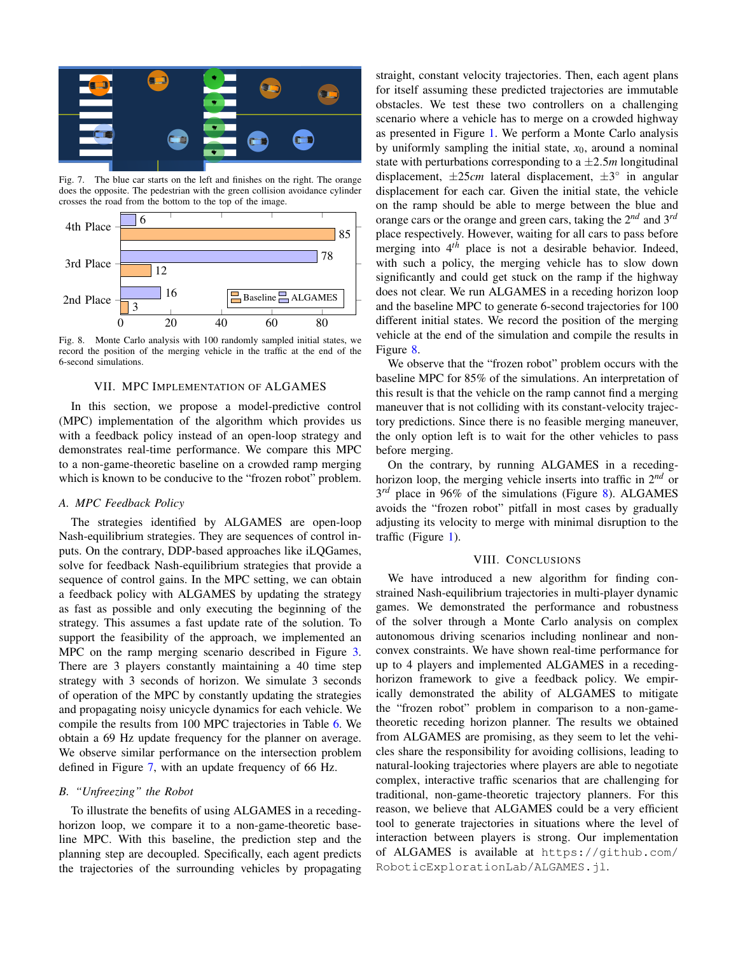

Fig. 7. The blue car starts on the left and finishes on the right. The orange does the opposite. The pedestrian with the green collision avoidance cylinder crosses the road from the bottom to the top of the image.



Fig. 8. Monte Carlo analysis with 100 randomly sampled initial states, we record the position of the merging vehicle in the traffic at the end of the 6-second simulations.

### VII. MPC IMPLEMENTATION OF ALGAMES

<span id="page-7-0"></span>In this section, we propose a model-predictive control (MPC) implementation of the algorithm which provides us with a feedback policy instead of an open-loop strategy and demonstrates real-time performance. We compare this MPC to a non-game-theoretic baseline on a crowded ramp merging which is known to be conducive to the "frozen robot" problem.

## *A. MPC Feedback Policy*

The strategies identified by ALGAMES are open-loop Nash-equilibrium strategies. They are sequences of control inputs. On the contrary, DDP-based approaches like iLQGames, solve for feedback Nash-equilibrium strategies that provide a sequence of control gains. In the MPC setting, we can obtain a feedback policy with ALGAMES by updating the strategy as fast as possible and only executing the beginning of the strategy. This assumes a fast update rate of the solution. To support the feasibility of the approach, we implemented an MPC on the ramp merging scenario described in Figure [3.](#page-5-0) There are 3 players constantly maintaining a 40 time step strategy with 3 seconds of horizon. We simulate 3 seconds of operation of the MPC by constantly updating the strategies and propagating noisy unicycle dynamics for each vehicle. We compile the results from 100 MPC trajectories in Table [6.](#page-6-3) We obtain a 69 Hz update frequency for the planner on average. We observe similar performance on the intersection problem defined in Figure [7,](#page-7-1) with an update frequency of 66 Hz.

### *B. "Unfreezing" the Robot*

To illustrate the benefits of using ALGAMES in a recedinghorizon loop, we compare it to a non-game-theoretic baseline MPC. With this baseline, the prediction step and the planning step are decoupled. Specifically, each agent predicts the trajectories of the surrounding vehicles by propagating

<span id="page-7-1"></span>straight, constant velocity trajectories. Then, each agent plans for itself assuming these predicted trajectories are immutable obstacles. We test these two controllers on a challenging scenario where a vehicle has to merge on a crowded highway as presented in Figure [1.](#page-0-0) We perform a Monte Carlo analysis by uniformly sampling the initial state,  $x<sub>0</sub>$ , around a nominal state with perturbations corresponding to a  $\pm 2.5m$  longitudinal displacement,  $\pm 25$ *cm* lateral displacement,  $\pm 3^{\circ}$  in angular displacement for each car. Given the initial state, the vehicle on the ramp should be able to merge between the blue and orange cars or the orange and green cars, taking the 2*nd* and 3*rd* place respectively. However, waiting for all cars to pass before merging into 4*th* place is not a desirable behavior. Indeed, with such a policy, the merging vehicle has to slow down significantly and could get stuck on the ramp if the highway does not clear. We run ALGAMES in a receding horizon loop and the baseline MPC to generate 6-second trajectories for 100 different initial states. We record the position of the merging vehicle at the end of the simulation and compile the results in Figure [8.](#page-7-2)

<span id="page-7-2"></span>We observe that the "frozen robot" problem occurs with the baseline MPC for 85% of the simulations. An interpretation of this result is that the vehicle on the ramp cannot find a merging maneuver that is not colliding with its constant-velocity trajectory predictions. Since there is no feasible merging maneuver, the only option left is to wait for the other vehicles to pass before merging.

On the contrary, by running ALGAMES in a recedinghorizon loop, the merging vehicle inserts into traffic in 2*nd* or 3 *rd* place in 96% of the simulations (Figure [8\)](#page-7-2). ALGAMES avoids the "frozen robot" pitfall in most cases by gradually adjusting its velocity to merge with minimal disruption to the traffic (Figure [1\)](#page-0-0).

# VIII. CONCLUSIONS

We have introduced a new algorithm for finding constrained Nash-equilibrium trajectories in multi-player dynamic games. We demonstrated the performance and robustness of the solver through a Monte Carlo analysis on complex autonomous driving scenarios including nonlinear and nonconvex constraints. We have shown real-time performance for up to 4 players and implemented ALGAMES in a recedinghorizon framework to give a feedback policy. We empirically demonstrated the ability of ALGAMES to mitigate the "frozen robot" problem in comparison to a non-gametheoretic receding horizon planner. The results we obtained from ALGAMES are promising, as they seem to let the vehicles share the responsibility for avoiding collisions, leading to natural-looking trajectories where players are able to negotiate complex, interactive traffic scenarios that are challenging for traditional, non-game-theoretic trajectory planners. For this reason, we believe that ALGAMES could be a very efficient tool to generate trajectories in situations where the level of interaction between players is strong. Our implementation of ALGAMES is available at [https://github.com/](https://github.com/RoboticExplorationLab/ALGAMES.jl) [RoboticExplorationLab/ALGAMES.jl](https://github.com/RoboticExplorationLab/ALGAMES.jl).